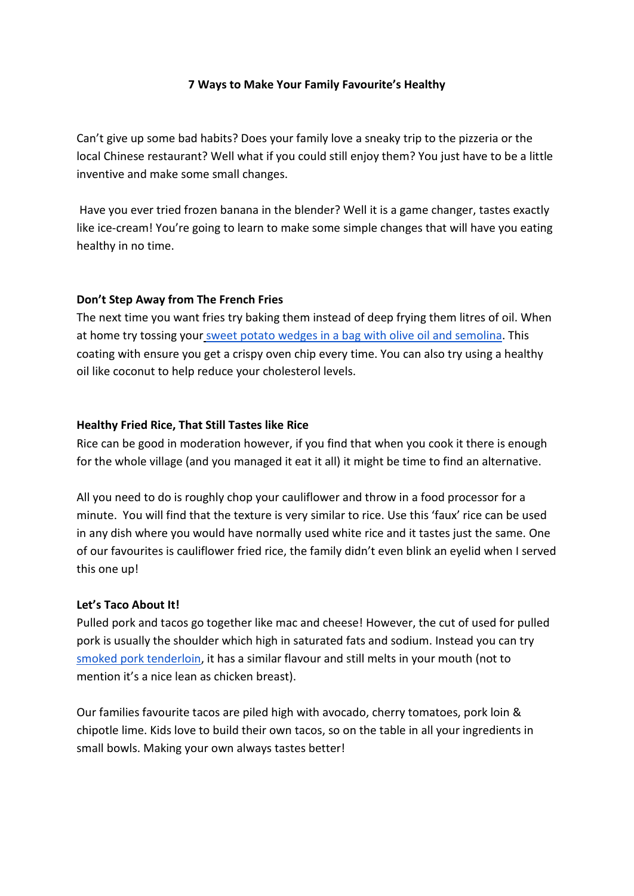## **7 Ways to Make Your Family Favourite's Healthy**

Can't give up some bad habits? Does your family love a sneaky trip to the pizzeria or the local Chinese restaurant? Well what if you could still enjoy them? You just have to be a little inventive and make some small changes.

Have you ever tried frozen banana in the blender? Well it is a game changer, tastes exactly like ice-cream! You're going to learn to make some simple changes that will have you eating healthy in no time.

## **Don't Step Away from The French Fries**

The next time you want fries try baking them instead of deep frying them litres of oil. When at home try tossing you[r](https://outoftheordinaryfood.com/2013/09/29/crispy-spicy-semolina-crusted-sweet-potato-fries/) [sweet potato wedges in a bag with olive oil and semolina.](https://outoftheordinaryfood.com/2013/09/29/crispy-spicy-semolina-crusted-sweet-potato-fries/) This coating with ensure you get a crispy oven chip every time. You can also try using a healthy oil like coconut to help reduce your cholesterol levels.

## **Healthy Fried Rice, That Still Tastes like Rice**

Rice can be good in moderation however, if you find that when you cook it there is enough for the whole village (and you managed it eat it all) it might be time to find an alternative.

All you need to do is roughly chop your cauliflower and throw in a food processor for a minute. You will find that the texture is very similar to rice. Use this 'faux' rice can be used in any dish where you would have normally used white rice and it tastes just the same. One of our favourites is cauliflower fried rice, the family didn't even blink an eyelid when I served this one up!

#### **Let's Taco About It!**

Pulled pork and tacos go together like mac and cheese! However, the cut of used for pulled pork is usually the shoulder which high in saturated fats and sodium. Instead you can tr[y](https://www.simplymeatsmoking.com/recipe/smoked-pork-loin/) [smoked pork tenderloin,](https://www.simplymeatsmoking.com/recipe/smoked-pork-loin/) it has a similar flavour and still melts in your mouth (not to mention it's a nice lean as chicken breast).

Our families favourite tacos are piled high with avocado, cherry tomatoes, pork loin & chipotle lime. Kids love to build their own tacos, so on the table in all your ingredients in small bowls. Making your own always tastes better!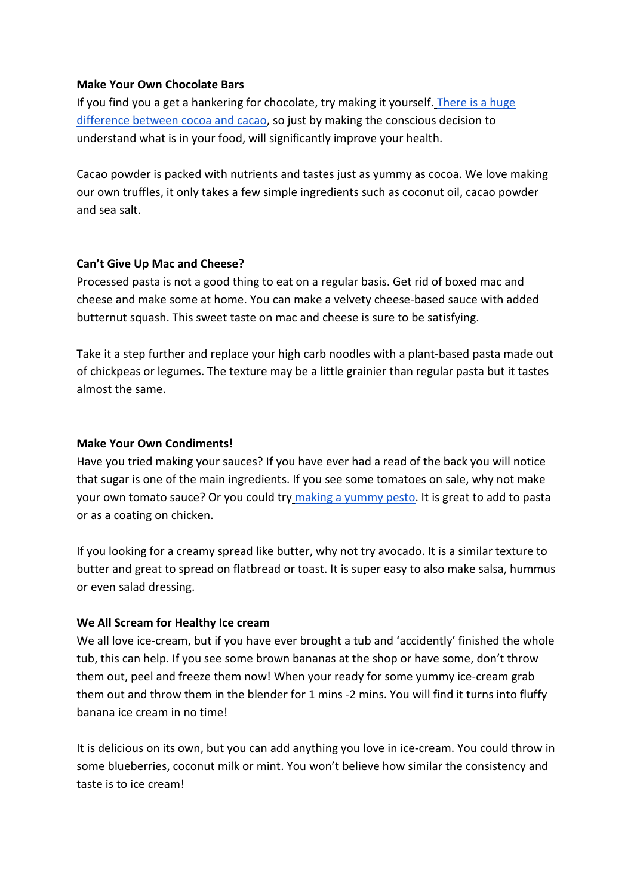## **Make Your Own Chocolate Bars**

If you find you a get a hankering for chocolate, try making it yourself. There is a huge [difference between cocoa and](https://iquitsugar.com/raw-cacao-vs-cocoa-whats-the-difference/) cacao, so just by making the conscious decision to understand what is in your food, will significantly improve your health.

Cacao powder is packed with nutrients and tastes just as yummy as cocoa. We love making our own truffles, it only takes a few simple ingredients such as coconut oil, cacao powder and sea salt.

## **Can't Give Up Mac and Cheese?**

Processed pasta is not a good thing to eat on a regular basis. Get rid of boxed mac and cheese and make some at home. You can make a velvety cheese-based sauce with added butternut squash. This sweet taste on mac and cheese is sure to be satisfying.

Take it a step further and replace your high carb noodles with a plant-based pasta made out of chickpeas or legumes. The texture may be a little grainier than regular pasta but it tastes almost the same.

## **Make Your Own Condiments!**

Have you tried making your sauces? If you have ever had a read of the back you will notice that sugar is one of the main ingredients. If you see some tomatoes on sale, why not make your own tomato sauce? Or you could tr[y](https://www.simplyrecipes.com/recipes/fresh_basil_pesto/) [making a yummy pesto.](https://www.simplyrecipes.com/recipes/fresh_basil_pesto/) It is great to add to pasta or as a coating on chicken.

If you looking for a creamy spread like butter, why not try avocado. It is a similar texture to butter and great to spread on flatbread or toast. It is super easy to also make salsa, hummus or even salad dressing.

# **We All Scream for Healthy Ice cream**

We all love ice-cream, but if you have ever brought a tub and 'accidently' finished the whole tub, this can help. If you see some brown bananas at the shop or have some, don't throw them out, peel and freeze them now! When your ready for some yummy ice-cream grab them out and throw them in the blender for 1 mins -2 mins. You will find it turns into fluffy banana ice cream in no time!

It is delicious on its own, but you can add anything you love in ice-cream. You could throw in some blueberries, coconut milk or mint. You won't believe how similar the consistency and taste is to ice cream!